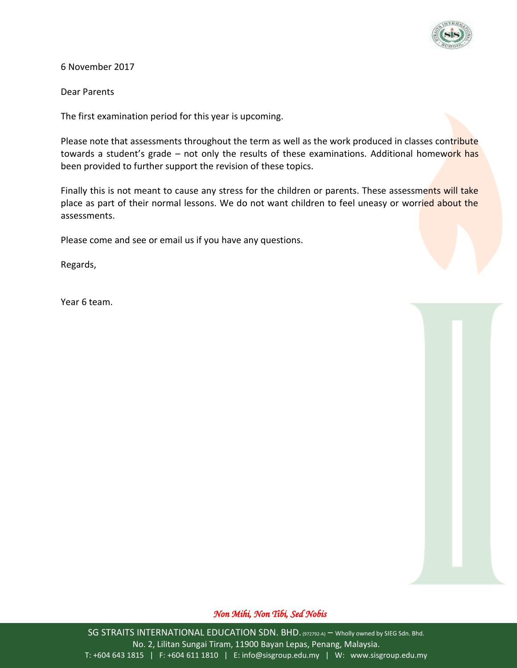

6 November 2017

Dear Parents

The first examination period for this year is upcoming.

Please note that assessments throughout the term as well as the work produced in classes contribute towards a student's grade – not only the results of these examinations. Additional homework has been provided to further support the revision of these topics.

Finally this is not meant to cause any stress for the children or parents. These assessments will take place as part of their normal lessons. We do not want children to feel uneasy or worried about the assessments.

Please come and see or email us if you have any questions.

Regards,

Year 6 team.

## *Non Mihi, Non Tibi, Sed Nobis*

SG STRAITS INTERNATIONAL EDUCATION SDN. BHD. (972792-A) - Wholly owned by SIEG Sdn. Bhd. No. 2, Lilitan Sungai Tiram, 11900 Bayan Lepas, Penang, Malaysia. T: +604 643 1815 | F: +604 611 1810 | E: info@sisgroup.edu.my | W: www.sisgroup.edu.my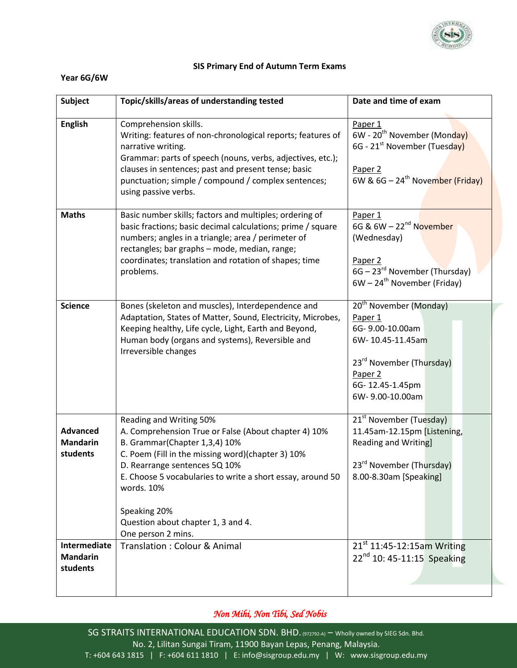

## **SIS Primary End of Autumn Term Exams**

## **Year 6G/6W**

| <b>Subject</b>                                 | Topic/skills/areas of understanding tested                                                                                                                                                                                                                                                                                                                     | Date and time of exam                                                                                                                                                             |
|------------------------------------------------|----------------------------------------------------------------------------------------------------------------------------------------------------------------------------------------------------------------------------------------------------------------------------------------------------------------------------------------------------------------|-----------------------------------------------------------------------------------------------------------------------------------------------------------------------------------|
| <b>English</b>                                 | Comprehension skills.<br>Writing: features of non-chronological reports; features of<br>narrative writing.<br>Grammar: parts of speech (nouns, verbs, adjectives, etc.);<br>clauses in sentences; past and present tense; basic<br>punctuation; simple / compound / complex sentences;<br>using passive verbs.                                                 | Paper 1<br>6W - 20 <sup>th</sup> November (Monday)<br>6G - 21 <sup>st</sup> November (Tuesday)<br>Paper 2<br>6W & $6G - 24$ <sup>th</sup> November (Friday)                       |
| <b>Maths</b>                                   | Basic number skills; factors and multiples; ordering of<br>basic fractions; basic decimal calculations; prime / square<br>numbers; angles in a triangle; area / perimeter of<br>rectangles; bar graphs - mode, median, range;<br>coordinates; translation and rotation of shapes; time<br>problems.                                                            | Paper 1<br>6G & 6W - 22 <sup>nd</sup> November<br>(Wednesday)<br>Paper 2<br>6G - 23 <sup>rd</sup> November (Thursday)<br>$6W - 24$ <sup>th</sup> November (Friday)                |
| <b>Science</b>                                 | Bones (skeleton and muscles), Interdependence and<br>Adaptation, States of Matter, Sound, Electricity, Microbes,<br>Keeping healthy, Life cycle, Light, Earth and Beyond,<br>Human body (organs and systems), Reversible and<br>Irreversible changes                                                                                                           | $20^{th}$ November (Monday)<br>Paper 1<br>6G-9.00-10.00am<br>6W-10.45-11.45am<br>23 <sup>rd</sup> November (Thursday)<br>Paper <sub>2</sub><br>6G-12.45-1.45pm<br>6W-9.00-10.00am |
| <b>Advanced</b><br><b>Mandarin</b><br>students | Reading and Writing 50%<br>A. Comprehension True or False (About chapter 4) 10%<br>B. Grammar(Chapter 1,3,4) 10%<br>C. Poem (Fill in the missing word)(chapter 3) 10%<br>D. Rearrange sentences 5Q 10%<br>E. Choose 5 vocabularies to write a short essay, around 50<br>words. 10%<br>Speaking 20%<br>Question about chapter 1, 3 and 4.<br>One person 2 mins. | 21 <sup>st</sup> November (Tuesday)<br>11.45am-12.15pm [Listening,<br>Reading and Writing]<br>23 <sup>rd</sup> November (Thursday)<br>8.00-8.30am [Speaking]                      |
| Intermediate<br><b>Mandarin</b><br>students    | Translation: Colour & Animal                                                                                                                                                                                                                                                                                                                                   | 21 <sup>st</sup> 11:45-12:15am Writing<br>$22^{nd}$ 10: 45-11:15 Speaking                                                                                                         |

## *Non Mihi, Non Tibi, Sed Nobis*

SG STRAITS INTERNATIONAL EDUCATION SDN. BHD. (972792-A) – Wholly owned by SIEG Sdn. Bhd. No. 2, Lilitan Sungai Tiram, 11900 Bayan Lepas, Penang, Malaysia. T: +604 643 1815 | F: +604 611 1810 | E: info@sisgroup.edu.my | W: www.sisgroup.edu.my